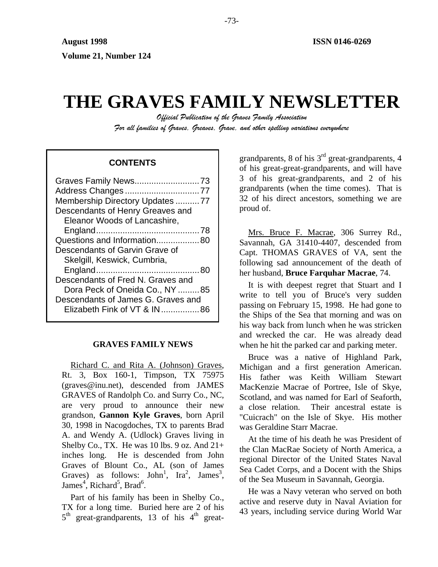# **THE GRAVES FAMILY NEWSLETTER**

*Official Publication of the Graves Family Association For all families of Graves, Greaves, Grave, and other spelling variations everywhere* 

# **CONTENTS**

| Address Changes77                  |
|------------------------------------|
| Membership Directory Updates 77    |
| Descendants of Henry Greaves and   |
| Eleanor Woods of Lancashire,       |
|                                    |
| Questions and Information80        |
| Descendants of Garvin Grave of     |
| Skelgill, Keswick, Cumbria,        |
|                                    |
| Descendants of Fred N. Graves and  |
| Dora Peck of Oneida Co., NY 85     |
| Descendants of James G. Graves and |
| Elizabeth Fink of VT & IN86        |
|                                    |

# **GRAVES FAMILY NEWS**

Richard C. and Rita A. (Johnson) Graves, Rt. 3, Box 160-1, Timpson, TX 75975 (graves@inu.net), descended from JAMES GRAVES of Randolph Co. and Surry Co., NC, are very proud to announce their new grandson, **Gannon Kyle Graves**, born April 30, 1998 in Nacogdoches, TX to parents Brad A. and Wendy A. (Udlock) Graves living in Shelby Co., TX. He was  $10$  lbs.  $9$  oz. And  $21+$ inches long. He is descended from John Graves of Blount Co., AL (son of James Graves) as follows:  $John^1$ ,  $Ira^2$ , James<sup>3</sup>, James<sup>4</sup>, Richard<sup>5</sup>, Brad<sup>6</sup>.

Part of his family has been in Shelby Co., TX for a long time. Buried here are 2 of his  $5<sup>th</sup>$  great-grandparents, 13 of his  $4<sup>th</sup>$  greatgrandparents, 8 of his  $3<sup>rd</sup>$  great-grandparents, 4 of his great-great-grandparents, and will have 3 of his great-grandparents, and 2 of his grandparents (when the time comes). That is 32 of his direct ancestors, something we are proud of.

Mrs. Bruce F. Macrae, 306 Surrey Rd., Savannah, GA 31410-4407, descended from Capt. THOMAS GRAVES of VA, sent the following sad announcement of the death of her husband, **Bruce Farquhar Macrae**, 74.

It is with deepest regret that Stuart and I write to tell you of Bruce's very sudden passing on February 15, 1998. He had gone to the Ships of the Sea that morning and was on his way back from lunch when he was stricken and wrecked the car. He was already dead when he hit the parked car and parking meter.

Bruce was a native of Highland Park, Michigan and a first generation American. His father was Keith William Stewart MacKenzie Macrae of Portree, Isle of Skye, Scotland, and was named for Earl of Seaforth, a close relation. Their ancestral estate is "Cuicrach" on the Isle of Skye. His mother was Geraldine Starr Macrae.

At the time of his death he was President of the Clan MacRae Society of North America, a regional Director of the United States Naval Sea Cadet Corps, and a Docent with the Ships of the Sea Museum in Savannah, Georgia.

He was a Navy veteran who served on both active and reserve duty in Naval Aviation for 43 years, including service during World War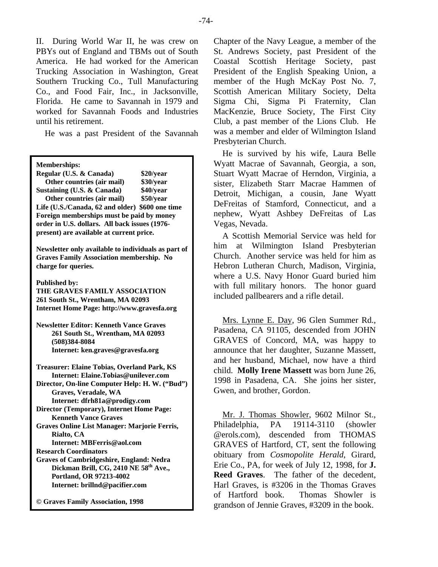II. During World War II, he was crew on PBYs out of England and TBMs out of South America. He had worked for the American Trucking Association in Washington, Great Southern Trucking Co., Tull Manufacturing Co., and Food Fair, Inc., in Jacksonville, Florida. He came to Savannah in 1979 and worked for Savannah Foods and Industries until his retirement.

He was a past President of the Savannah

| <b>Memberships:</b> |  |
|---------------------|--|
|                     |  |

| Regular (U.S. & Canada)                         | \$20/year |  |  |
|-------------------------------------------------|-----------|--|--|
| Other countries (air mail)                      | \$30/year |  |  |
| Sustaining (U.S. & Canada)                      | \$40/year |  |  |
| Other countries (air mail)                      | \$50/year |  |  |
| Life (U.S./Canada, 62 and older) \$600 one time |           |  |  |
| Foreign memberships must be paid by money       |           |  |  |
| order in U.S. dollars. All back issues (1976-   |           |  |  |
| present) are available at current price.        |           |  |  |
|                                                 |           |  |  |

**Newsletter only available to individuals as part of Graves Family Association membership. No charge for queries.** 

**Published by:** 

**THE GRAVES FAMILY ASSOCIATION 261 South St., Wrentham, MA 02093 Internet Home Page: http://www.gravesfa.org** 

**Newsletter Editor: Kenneth Vance Graves 261 South St., Wrentham, MA 02093 (508)384-8084 Internet: ken.graves@gravesfa.org** 

**Treasurer: Elaine Tobias, Overland Park, KS Internet: Elaine.Tobias@unilever.com Director, On-line Computer Help: H. W. ("Bud") Graves, Veradale, WA Internet: dfrh81a@prodigy.com Director (Temporary), Internet Home Page: Kenneth Vance Graves Graves Online List Manager: Marjorie Ferris, Rialto, CA Internet: MBFerris@aol.com** 

**Research Coordinators Graves of Cambridgeshire, England: Nedra Dickman Brill, CG, 2410 NE 58th Ave., Portland, OR 97213-4002 Internet: brillnd@pacifier.com** 

**© Graves Family Association, 1998**

Chapter of the Navy League, a member of the St. Andrews Society, past President of the Coastal Scottish Heritage Society, past President of the English Speaking Union, a member of the Hugh McKay Post No. 7, Scottish American Military Society, Delta Sigma Chi, Sigma Pi Fraternity, Clan MacKenzie, Bruce Society, The First City Club, a past member of the Lions Club. He was a member and elder of Wilmington Island Presbyterian Church.

He is survived by his wife, Laura Belle Wyatt Macrae of Savannah, Georgia, a son, Stuart Wyatt Macrae of Herndon, Virginia, a sister, Elizabeth Starr Macrae Hammen of Detroit, Michigan, a cousin, Jane Wyatt DeFreitas of Stamford, Connecticut, and a nephew, Wyatt Ashbey DeFreitas of Las Vegas, Nevada.

A Scottish Memorial Service was held for him at Wilmington Island Presbyterian Church. Another service was held for him as Hebron Lutheran Church, Madison, Virginia, where a U.S. Navy Honor Guard buried him with full military honors. The honor guard included pallbearers and a rifle detail.

Mrs. Lynne E. Day, 96 Glen Summer Rd., Pasadena, CA 91105, descended from JOHN GRAVES of Concord, MA, was happy to announce that her daughter, Suzanne Massett, and her husband, Michael, now have a third child. **Molly Irene Massett** was born June 26, 1998 in Pasadena, CA. She joins her sister, Gwen, and brother, Gordon.

Mr. J. Thomas Showler, 9602 Milnor St., Philadelphia, PA 19114-3110 (showler @erols.com), descended from THOMAS GRAVES of Hartford, CT, sent the following obituary from *Cosmopolite Herald*, Girard, Erie Co., PA, for week of July 12, 1998, for **J. Reed Graves**. The father of the decedent, Harl Graves, is #3206 in the Thomas Graves of Hartford book. Thomas Showler is grandson of Jennie Graves, #3209 in the book.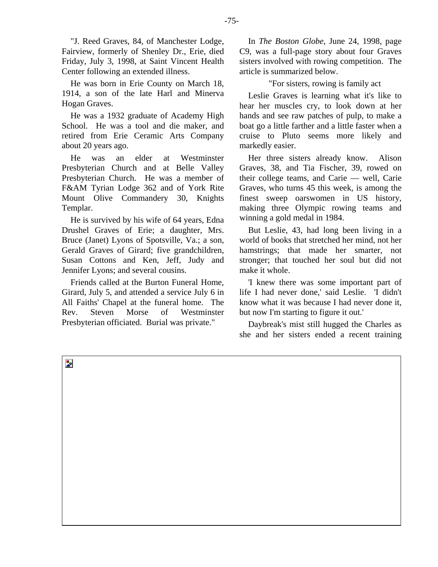"J. Reed Graves, 84, of Manchester Lodge, Fairview, formerly of Shenley Dr., Erie, died Friday, July 3, 1998, at Saint Vincent Health Center following an extended illness.

He was born in Erie County on March 18, 1914, a son of the late Harl and Minerva Hogan Graves.

He was a 1932 graduate of Academy High School. He was a tool and die maker, and retired from Erie Ceramic Arts Company about 20 years ago.

He was an elder at Westminster Presbyterian Church and at Belle Valley Presbyterian Church. He was a member of F&AM Tyrian Lodge 362 and of York Rite Mount Olive Commandery 30, Knights Templar.

He is survived by his wife of 64 years, Edna Drushel Graves of Erie; a daughter, Mrs. Bruce (Janet) Lyons of Spotsville, Va.; a son, Gerald Graves of Girard; five grandchildren, Susan Cottons and Ken, Jeff, Judy and Jennifer Lyons; and several cousins.

Friends called at the Burton Funeral Home, Girard, July 5, and attended a service July 6 in All Faiths' Chapel at the funeral home. The Rev. Steven Morse of Westminster Presbyterian officiated. Burial was private."

In *The Boston Globe*, June 24, 1998, page C9, was a full-page story about four Graves sisters involved with rowing competition. The article is summarized below.

"For sisters, rowing is family act

Leslie Graves is learning what it's like to hear her muscles cry, to look down at her hands and see raw patches of pulp, to make a boat go a little farther and a little faster when a cruise to Pluto seems more likely and markedly easier.

Her three sisters already know. Alison Graves, 38, and Tia Fischer, 39, rowed on their college teams, and Carie — well, Carie Graves, who turns 45 this week, is among the finest sweep oarswomen in US history, making three Olympic rowing teams and winning a gold medal in 1984.

But Leslie, 43, had long been living in a world of books that stretched her mind, not her hamstrings; that made her smarter, not stronger; that touched her soul but did not make it whole.

'I knew there was some important part of life I had never done,' said Leslie. 'I didn't know what it was because I had never done it, but now I'm starting to figure it out.'

Daybreak's mist still hugged the Charles as she and her sisters ended a recent training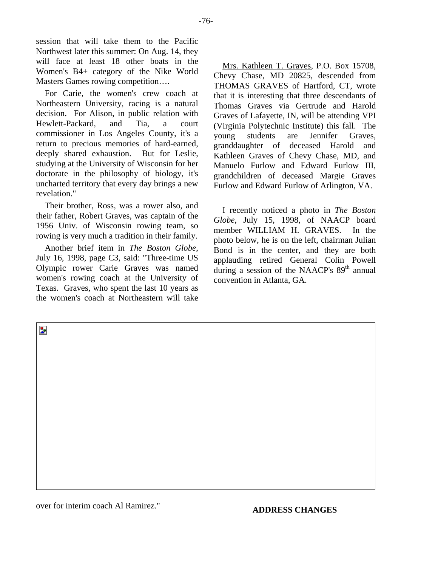session that will take them to the Pacific Northwest later this summer: On Aug. 14, they will face at least 18 other boats in the Women's B4+ category of the Nike World Masters Games rowing competition….

For Carie, the women's crew coach at Northeastern University, racing is a natural decision. For Alison, in public relation with Hewlett-Packard, and Tia, a court commissioner in Los Angeles County, it's a return to precious memories of hard-earned, deeply shared exhaustion. But for Leslie, studying at the University of Wisconsin for her doctorate in the philosophy of biology, it's uncharted territory that every day brings a new revelation."

Their brother, Ross, was a rower also, and their father, Robert Graves, was captain of the 1956 Univ. of Wisconsin rowing team, so rowing is very much a tradition in their family.

Another brief item in *The Boston Globe*, July 16, 1998, page C3, said: "Three-time US Olympic rower Carie Graves was named women's rowing coach at the University of Texas. Graves, who spent the last 10 years as the women's coach at Northeastern will take

Mrs. Kathleen T. Graves, P.O. Box 15708, Chevy Chase, MD 20825, descended from THOMAS GRAVES of Hartford, CT, wrote that it is interesting that three descendants of Thomas Graves via Gertrude and Harold Graves of Lafayette, IN, will be attending VPI (Virginia Polytechnic Institute) this fall. The young students are Jennifer Graves, granddaughter of deceased Harold and Kathleen Graves of Chevy Chase, MD, and Manuelo Furlow and Edward Furlow III, grandchildren of deceased Margie Graves Furlow and Edward Furlow of Arlington, VA.

I recently noticed a photo in *The Boston Globe*, July 15, 1998, of NAACP board member WILLIAM H. GRAVES. In the photo below, he is on the left, chairman Julian Bond is in the center, and they are both applauding retired General Colin Powell during a session of the NAACP's  $89<sup>th</sup>$  annual convention in Atlanta, GA.

b.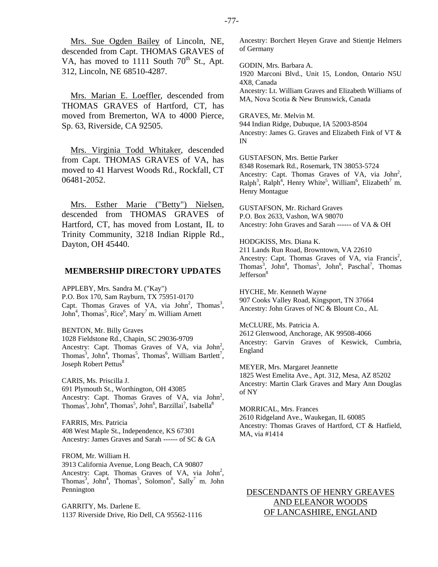Mrs. Sue Ogden Bailey of Lincoln, NE, descended from Capt. THOMAS GRAVES of VA, has moved to 1111 South  $70^{th}$  St., Apt. 312, Lincoln, NE 68510-4287.

Mrs. Marian E. Loeffler, descended from THOMAS GRAVES of Hartford, CT, has moved from Bremerton, WA to 4000 Pierce, Sp. 63, Riverside, CA 92505.

Mrs. Virginia Todd Whitaker, descended from Capt. THOMAS GRAVES of VA, has moved to 41 Harvest Woods Rd., Rockfall, CT 06481-2052.

Mrs. Esther Marie ("Betty") Nielsen, descended from THOMAS GRAVES of Hartford, CT, has moved from Lostant, IL to Trinity Community, 3218 Indian Ripple Rd., Dayton, OH 45440.

#### **MEMBERSHIP DIRECTORY UPDATES**

APPLEBY, Mrs. Sandra M. ("Kay") P.O. Box 170, Sam Rayburn, TX 75951-0170 Capt. Thomas Graves of VA, via John<sup>2</sup>, Thomas<sup>3</sup>, John<sup>4</sup>, Thomas<sup>5</sup>, Rice<sup>6</sup>, Mary<sup>7</sup> m. William Arnett

BENTON, Mr. Billy Graves 1028 Fieldstone Rd., Chapin, SC 29036-9709 Ancestry: Capt. Thomas Graves of VA, via  $John<sup>2</sup>$ , Thomas<sup>3</sup>, John<sup>4</sup>, Thomas<sup>5</sup>, Thomas<sup>6</sup>, William Bartlett<sup>7</sup>, Joseph Robert Pettus<sup>8</sup>

CARIS, Ms. Priscilla J. 691 Plymouth St., Worthington, OH 43085 Ancestry: Capt. Thomas Graves of VA, via  $John<sup>2</sup>$ ,  $\text{Thomas}^3$ ,  $\text{John}^4$ ,  $\text{Thomas}^5$ ,  $\text{John}^6$ ,  $\text{Barzillai}^7$ ,  $\text{Isabella}^8$ 

FARRIS, Mrs. Patricia 408 West Maple St., Independence, KS 67301 Ancestry: James Graves and Sarah ------ of SC & GA

FROM, Mr. William H. 3913 California Avenue, Long Beach, CA 90807 Ancestry: Capt. Thomas Graves of VA, via  $John<sup>2</sup>$ , Thomas<sup>3</sup>, John<sup>4</sup>, Thomas<sup>5</sup>, Solomon<sup>6</sup>, Sally<sup>7</sup> m. John Pennington

GARRITY, Ms. Darlene E. 1137 Riverside Drive, Rio Dell, CA 95562-1116 Ancestry: Borchert Heyen Grave and Stientje Helmers of Germany

GODIN, Mrs. Barbara A. 1920 Marconi Blvd., Unit 15, London, Ontario N5U 4X8, Canada Ancestry: Lt. William Graves and Elizabeth Williams of MA, Nova Scotia & New Brunswick, Canada

GRAVES, Mr. Melvin M. 944 Indian Ridge, Dubuque, IA 52003-8504 Ancestry: James G. Graves and Elizabeth Fink of VT & IN

GUSTAFSON, Mrs. Bettie Parker 8348 Rosemark Rd., Rosemark, TN 38053-5724 Ancestry: Capt. Thomas Graves of VA, via  $John<sup>2</sup>$ ,  $\text{Ralph}^3$ ,  $\text{Ralph}^4$ , Henry White<sup>5</sup>, William<sup>6</sup>, Elizabeth<sup>7</sup> m. Henry Montague

GUSTAFSON, Mr. Richard Graves P.O. Box 2633, Vashon, WA 98070 Ancestry: John Graves and Sarah ------ of VA & OH

HODGKISS, Mrs. Diana K. 211 Lands Run Road, Browntown, VA 22610 Ancestry: Capt. Thomas Graves of VA, via Francis<sup>2</sup>, Thomas<sup>3</sup>, John<sup>4</sup>, Thomas<sup>5</sup>, John<sup>6</sup>, Paschal<sup>7</sup>, Thomas Jefferson<sup>8</sup>

HYCHE, Mr. Kenneth Wayne 907 Cooks Valley Road, Kingsport, TN 37664 Ancestry: John Graves of NC & Blount Co., AL

McCLURE, Ms. Patricia A. 2612 Glenwood, Anchorage, AK 99508-4066 Ancestry: Garvin Graves of Keswick, Cumbria, England

MEYER, Mrs. Margaret Jeannette 1825 West Emelita Ave., Apt. 312, Mesa, AZ 85202 Ancestry: Martin Clark Graves and Mary Ann Douglas of NY

MORRICAL, Mrs. Frances 2610 Ridgeland Ave., Waukegan, IL 60085 Ancestry: Thomas Graves of Hartford, CT & Hatfield, MA, via #1414

DESCENDANTS OF HENRY GREAVES AND ELEANOR WOODS OF LANCASHIRE, ENGLAND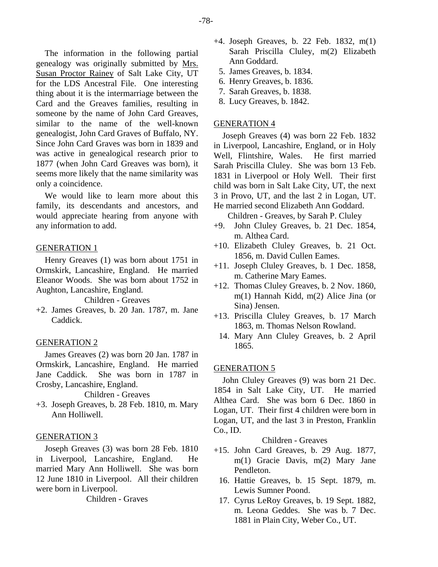The information in the following partial genealogy was originally submitted by Mrs. Susan Proctor Rainey of Salt Lake City, UT for the LDS Ancestral File. One interesting thing about it is the intermarriage between the Card and the Greaves families, resulting in someone by the name of John Card Greaves, similar to the name of the well-known genealogist, John Card Graves of Buffalo, NY. Since John Card Graves was born in 1839 and was active in genealogical research prior to 1877 (when John Card Greaves was born), it seems more likely that the name similarity was only a coincidence.

We would like to learn more about this family, its descendants and ancestors, and would appreciate hearing from anyone with any information to add.

## GENERATION 1

Henry Greaves (1) was born about 1751 in Ormskirk, Lancashire, England. He married Eleanor Woods. She was born about 1752 in Aughton, Lancashire, England.

Children - Greaves

+2. James Greaves, b. 20 Jan. 1787, m. Jane Caddick.

## GENERATION 2

James Greaves (2) was born 20 Jan. 1787 in Ormskirk, Lancashire, England. He married Jane Caddick. She was born in 1787 in Crosby, Lancashire, England.

Children - Greaves

+3. Joseph Greaves, b. 28 Feb. 1810, m. Mary Ann Holliwell.

# GENERATION 3

Joseph Greaves (3) was born 28 Feb. 1810 in Liverpool, Lancashire, England. He married Mary Ann Holliwell. She was born 12 June 1810 in Liverpool. All their children were born in Liverpool.

Children - Graves

- +4. Joseph Greaves, b. 22 Feb. 1832, m(1) Sarah Priscilla Cluley, m(2) Elizabeth Ann Goddard.
	- 5. James Greaves, b. 1834.
	- 6. Henry Greaves, b. 1836.
	- 7. Sarah Greaves, b. 1838.
	- 8. Lucy Greaves, b. 1842.

## GENERATION 4

Joseph Greaves (4) was born 22 Feb. 1832 in Liverpool, Lancashire, England, or in Holy Well, Flintshire, Wales. He first married Sarah Priscilla Cluley. She was born 13 Feb. 1831 in Liverpool or Holy Well. Their first child was born in Salt Lake City, UT, the next 3 in Provo, UT, and the last 2 in Logan, UT. He married second Elizabeth Ann Goddard.

Children - Greaves, by Sarah P. Cluley

- +9. John Cluley Greaves, b. 21 Dec. 1854, m. Althea Card.
- +10. Elizabeth Cluley Greaves, b. 21 Oct. 1856, m. David Cullen Eames.
- +11. Joseph Cluley Greaves, b. 1 Dec. 1858, m. Catherine Mary Eames.
- +12. Thomas Cluley Greaves, b. 2 Nov. 1860, m(1) Hannah Kidd, m(2) Alice Jina (or Sina) Jensen.
- +13. Priscilla Cluley Greaves, b. 17 March 1863, m. Thomas Nelson Rowland.
	- 14. Mary Ann Cluley Greaves, b. 2 April 1865.

#### GENERATION 5

John Cluley Greaves (9) was born 21 Dec. 1854 in Salt Lake City, UT. He married Althea Card. She was born 6 Dec. 1860 in Logan, UT. Their first 4 children were born in Logan, UT, and the last 3 in Preston, Franklin Co., ID.

## Children - Greaves

- +15. John Card Greaves, b. 29 Aug. 1877, m(1) Gracie Davis, m(2) Mary Jane Pendleton.
	- 16. Hattie Greaves, b. 15 Sept. 1879, m. Lewis Sumner Poond.
	- 17. Cyrus LeRoy Greaves, b. 19 Sept. 1882, m. Leona Geddes. She was b. 7 Dec. 1881 in Plain City, Weber Co., UT.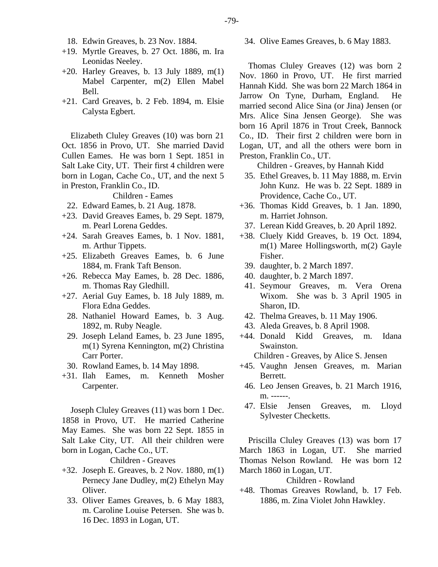- 18. Edwin Greaves, b. 23 Nov. 1884.
- +19. Myrtle Greaves, b. 27 Oct. 1886, m. Ira Leonidas Neeley.
- $+20$ . Harley Greaves, b. 13 July 1889, m(1) Mabel Carpenter, m(2) Ellen Mabel Bell.
- +21. Card Greaves, b. 2 Feb. 1894, m. Elsie Calysta Egbert.

Elizabeth Cluley Greaves (10) was born 21 Oct. 1856 in Provo, UT. She married David Cullen Eames. He was born 1 Sept. 1851 in Salt Lake City, UT. Their first 4 children were born in Logan, Cache Co., UT, and the next 5 in Preston, Franklin Co., ID.

Children - Eames

- 22. Edward Eames, b. 21 Aug. 1878.
- +23. David Greaves Eames, b. 29 Sept. 1879, m. Pearl Lorena Geddes.
- +24. Sarah Greaves Eames, b. 1 Nov. 1881, m. Arthur Tippets.
- +25. Elizabeth Greaves Eames, b. 6 June 1884, m. Frank Taft Benson.
- +26. Rebecca May Eames, b. 28 Dec. 1886, m. Thomas Ray Gledhill.
- +27. Aerial Guy Eames, b. 18 July 1889, m. Flora Edna Geddes.
- 28. Nathaniel Howard Eames, b. 3 Aug. 1892, m. Ruby Neagle.
- 29. Joseph Leland Eames, b. 23 June 1895, m(1) Syrena Kennington, m(2) Christina Carr Porter.
- 30. Rowland Eames, b. 14 May 1898.
- +31. Ilah Eames, m. Kenneth Mosher Carpenter.

Joseph Cluley Greaves (11) was born 1 Dec. 1858 in Provo, UT. He married Catherine May Eames. She was born 22 Sept. 1855 in Salt Lake City, UT. All their children were born in Logan, Cache Co., UT.

Children - Greaves

- +32. Joseph E. Greaves, b. 2 Nov. 1880, m(1) Pernecy Jane Dudley, m(2) Ethelyn May Oliver.
	- 33. Oliver Eames Greaves, b. 6 May 1883, m. Caroline Louise Petersen. She was b. 16 Dec. 1893 in Logan, UT.

34. Olive Eames Greaves, b. 6 May 1883.

Thomas Cluley Greaves (12) was born 2 Nov. 1860 in Provo, UT. He first married Hannah Kidd. She was born 22 March 1864 in Jarrow On Tyne, Durham, England. He married second Alice Sina (or Jina) Jensen (or Mrs. Alice Sina Jensen George). She was born 16 April 1876 in Trout Creek, Bannock Co., ID. Their first 2 children were born in Logan, UT, and all the others were born in Preston, Franklin Co., UT.

Children - Greaves, by Hannah Kidd

- 35. Ethel Greaves, b. 11 May 1888, m. Ervin John Kunz. He was b. 22 Sept. 1889 in Providence, Cache Co., UT.
- +36. Thomas Kidd Greaves, b. 1 Jan. 1890, m. Harriet Johnson.
- 37. Lerean Kidd Greaves, b. 20 April 1892.
- +38. Cluely Kidd Greaves, b. 19 Oct. 1894, m(1) Maree Hollingsworth, m(2) Gayle Fisher.
	- 39. daughter, b. 2 March 1897.
- 40. daughter, b. 2 March 1897.
- 41. Seymour Greaves, m. Vera Orena Wixom. She was b. 3 April 1905 in Sharon, ID.
- 42. Thelma Greaves, b. 11 May 1906.
- 43. Aleda Greaves, b. 8 April 1908.
- +44. Donald Kidd Greaves, m. Idana Swainston.

Children - Greaves, by Alice S. Jensen

- +45. Vaughn Jensen Greaves, m. Marian Berrett.
	- 46. Leo Jensen Greaves, b. 21 March 1916, m. ------.
	- 47. Elsie Jensen Greaves, m. Lloyd Sylvester Checketts.

Priscilla Cluley Greaves (13) was born 17 March 1863 in Logan, UT. She married Thomas Nelson Rowland. He was born 12 March 1860 in Logan, UT.

Children - Rowland

+48. Thomas Greaves Rowland, b. 17 Feb. 1886, m. Zina Violet John Hawkley.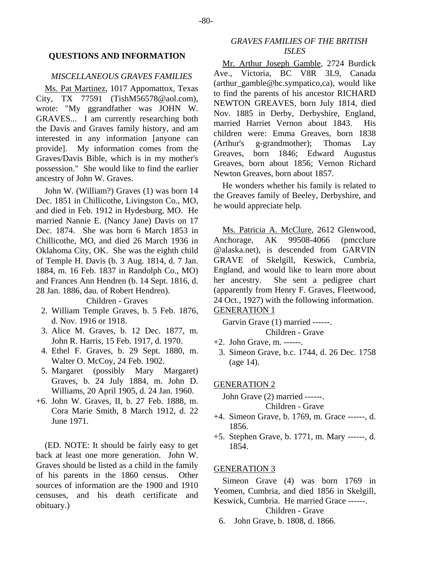#### **QUESTIONS AND INFORMATION**

## *MISCELLANEOUS GRAVES FAMILIES*

Ms. Pat Martinez, 1017 Appomattox, Texas City, TX 77591 (TishM56578@aol.com), wrote: "My ggrandfather was JOHN W. GRAVES... I am currently researching both the Davis and Graves family history, and am interested in any information [anyone can provide]. My information comes from the Graves/Davis Bible, which is in my mother's possession." She would like to find the earlier ancestry of John W. Graves.

John W. (William?) Graves (1) was born 14 Dec. 1851 in Chillicothe, Livingston Co., MO, and died in Feb. 1912 in Hydesburg, MO. He married Nannie E. (Nancy Jane) Davis on 17 Dec. 1874. She was born 6 March 1853 in Chillicothe, MO, and died 26 March 1936 in Oklahoma City, OK. She was the eighth child of Temple H. Davis (b. 3 Aug. 1814, d. 7 Jan. 1884, m. 16 Feb. 1837 in Randolph Co., MO) and Frances Ann Hendren (b. 14 Sept. 1816, d. 28 Jan. 1886, dau. of Robert Hendren).

Children - Graves

- 2. William Temple Graves, b. 5 Feb. 1876, d. Nov. 1916 or 1918.
- 3. Alice M. Graves, b. 12 Dec. 1877, m. John R. Harris, 15 Feb. 1917, d. 1970.
- 4. Ethel F. Graves, b. 29 Sept. 1880, m. Walter O. McCoy, 24 Feb. 1902.
- 5. Margaret (possibly Mary Margaret) Graves, b. 24 July 1884, m. John D. Williams, 20 April 1905, d. 24 Jan. 1960.
- +6. John W. Graves, II, b. 27 Feb. 1888, m. Cora Marie Smith, 8 March 1912, d. 22 June 1971.

(ED. NOTE: It should be fairly easy to get back at least one more generation. John W. Graves should be listed as a child in the family of his parents in the 1860 census. Other sources of information are the 1900 and 1910 censuses, and his death certificate and obituary.)

# *GRAVES FAMILIES OF THE BRITISH ISLES*

Mr. Arthur Joseph Gamble, 2724 Burdick Ave., Victoria, BC V8R 3L9, Canada (arthur\_gamble@bc.sympatico,ca), would like to find the parents of his ancestor RICHARD NEWTON GREAVES, born July 1814, died Nov. 1885 in Derby, Derbyshire, England, married Harriet Vernon about 1843. His children were: Emma Greaves, born 1838 (Arthur's g-grandmother); Thomas Lay Greaves, born 1846; Edward Augustus Greaves, born about 1856; Vernon Richard Newton Greaves, born about 1857.

He wonders whether his family is related to the Greaves family of Beeley, Derbyshire, and he would appreciate help.

Ms. Patricia A. McClure, 2612 Glenwood, Anchorage, AK 99508-4066 (pmcclure @alaska.net), is descended from GARVIN GRAVE of Skelgill, Keswick, Cumbria, England, and would like to learn more about her ancestry. She sent a pedigree chart (apparently from Henry F. Graves, Fleetwood, 24 Oct., 1927) with the following information. GENERATION 1

Garvin Grave (1) married ------. Children - Grave

- +2. John Grave, m. ------.
- 3. Simeon Grave, b.c. 1744, d. 26 Dec. 1758 (age 14).

GENERATION 2

John Grave (2) married ------. Children - Grave

- +4. Simeon Grave, b. 1769, m. Grace ------, d. 1856.
- +5. Stephen Grave, b. 1771, m. Mary ------, d. 1854.

#### GENERATION 3

Simeon Grave (4) was born 1769 in Yeomen, Cumbria, and died 1856 in Skelgill, Keswick, Cumbria. He married Grace ------.

Children - Grave

6. John Grave, b. 1808, d. 1866.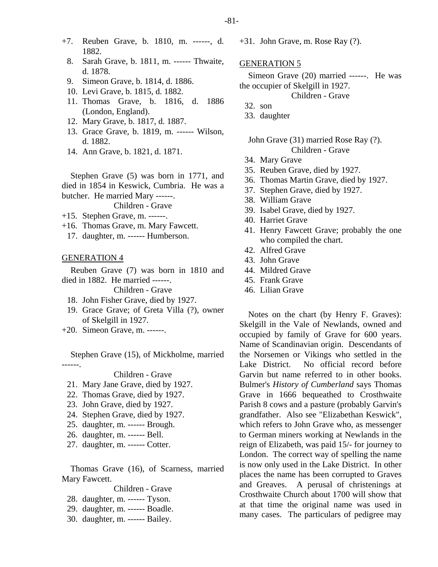- +7. Reuben Grave, b. 1810, m. ------, d. 1882.
	- 8. Sarah Grave, b. 1811, m. ------ Thwaite, d. 1878.
	- 9. Simeon Grave, b. 1814, d. 1886.
	- 10. Levi Grave, b. 1815, d. 1882.
	- 11. Thomas Grave, b. 1816, d. 1886 (London, England).
	- 12. Mary Grave, b. 1817, d. 1887.
	- 13. Grace Grave, b. 1819, m. ------ Wilson, d. 1882.
	- 14. Ann Grave, b. 1821, d. 1871.

Stephen Grave (5) was born in 1771, and died in 1854 in Keswick, Cumbria. He was a butcher. He married Mary ------.

Children - Grave

- +15. Stephen Grave, m. ------.
- +16. Thomas Grave, m. Mary Fawcett.
- 17. daughter, m. ------ Humberson.

#### GENERATION 4

Reuben Grave (7) was born in 1810 and died in 1882. He married ------.

Children - Grave

- 18. John Fisher Grave, died by 1927.
- 19. Grace Grave; of Greta Villa (?), owner of Skelgill in 1927.
- +20. Simeon Grave, m. ------.

Stephen Grave (15), of Mickholme, married ------.

# Children - Grave

- 21. Mary Jane Grave, died by 1927.
- 22. Thomas Grave, died by 1927.
- 23. John Grave, died by 1927.
- 24. Stephen Grave, died by 1927.
- 25. daughter, m. ------ Brough.
- 26. daughter, m. ------ Bell.
- 27. daughter, m. ------ Cotter.

Thomas Grave (16), of Scarness, married Mary Fawcett.

#### Children - Grave

- 28. daughter, m. ------ Tyson.
- 29. daughter, m. ------ Boadle.
- 30. daughter, m. ------ Bailey.

+31. John Grave, m. Rose Ray (?).

#### GENERATION 5

Simeon Grave (20) married ------. He was the occupier of Skelgill in 1927.

Children - Grave

- 32. son
- 33. daughter

John Grave (31) married Rose Ray (?). Children - Grave

- 34. Mary Grave
- 35. Reuben Grave, died by 1927.
- 36. Thomas Martin Grave, died by 1927.
- 37. Stephen Grave, died by 1927.
- 38. William Grave
- 39. Isabel Grave, died by 1927.
- 40. Harriet Grave
- 41. Henry Fawcett Grave; probably the one who compiled the chart.
- 42. Alfred Grave
- 43. John Grave
- 44. Mildred Grave
- 45. Frank Grave
- 46. Lilian Grave

Notes on the chart (by Henry F. Graves): Skelgill in the Vale of Newlands, owned and occupied by family of Grave for 600 years. Name of Scandinavian origin. Descendants of the Norsemen or Vikings who settled in the Lake District. No official record before Garvin but name referred to in other books. Bulmer's *History of Cumberland* says Thomas Grave in 1666 bequeathed to Crosthwaite Parish 8 cows and a pasture (probably Garvin's grandfather. Also see "Elizabethan Keswick", which refers to John Grave who, as messenger to German miners working at Newlands in the reign of Elizabeth, was paid 15/- for journey to London. The correct way of spelling the name is now only used in the Lake District. In other places the name has been corrupted to Graves and Greaves. A perusal of christenings at Crosthwaite Church about 1700 will show that at that time the original name was used in many cases. The particulars of pedigree may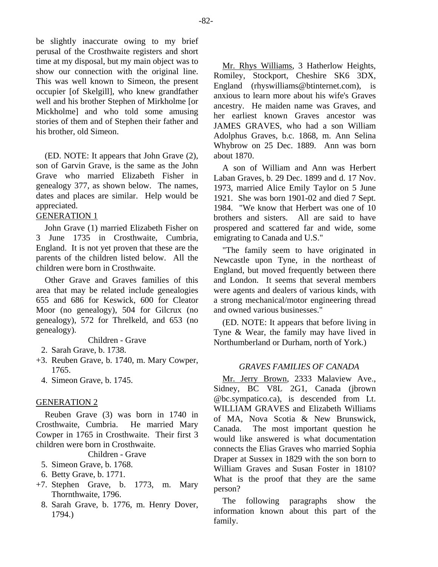be slightly inaccurate owing to my brief perusal of the Crosthwaite registers and short time at my disposal, but my main object was to show our connection with the original line. This was well known to Simeon, the present occupier [of Skelgill], who knew grandfather well and his brother Stephen of Mirkholme [or Mickholme] and who told some amusing stories of them and of Stephen their father and his brother, old Simeon.

(ED. NOTE: It appears that John Grave (2), son of Garvin Grave, is the same as the John Grave who married Elizabeth Fisher in genealogy 377, as shown below. The names, dates and places are similar. Help would be appreciated.

# GENERATION 1

John Grave (1) married Elizabeth Fisher on 3 June 1735 in Crosthwaite, Cumbria, England. It is not yet proven that these are the parents of the children listed below. All the children were born in Crosthwaite.

Other Grave and Graves families of this area that may be related include genealogies 655 and 686 for Keswick, 600 for Cleator Moor (no genealogy), 504 for Gilcrux (no genealogy), 572 for Threlkeld, and 653 (no genealogy).

Children - Grave

- 2. Sarah Grave, b. 1738.
- +3. Reuben Grave, b. 1740, m. Mary Cowper, 1765.
	- 4. Simeon Grave, b. 1745.

# GENERATION 2

Reuben Grave (3) was born in 1740 in Crosthwaite, Cumbria. He married Mary Cowper in 1765 in Crosthwaite. Their first 3 children were born in Crosthwaite.

Children - Grave

- 5. Simeon Grave, b. 1768.
- 6. Betty Grave, b. 1771.
- +7. Stephen Grave, b. 1773, m. Mary Thornthwaite, 1796.
	- 8. Sarah Grave, b. 1776, m. Henry Dover, 1794.)

Mr. Rhys Williams, 3 Hatherlow Heights, Romiley, Stockport, Cheshire SK6 3DX, England (rhyswilliams@btinternet.com), is anxious to learn more about his wife's Graves ancestry. He maiden name was Graves, and her earliest known Graves ancestor was JAMES GRAVES, who had a son William Adolphus Graves, b.c. 1868, m. Ann Selina Whybrow on 25 Dec. 1889. Ann was born about 1870.

A son of William and Ann was Herbert Laban Graves, b. 29 Dec. 1899 and d. 17 Nov. 1973, married Alice Emily Taylor on 5 June 1921. She was born 1901-02 and died 7 Sept. 1984. "We know that Herbert was one of 10 brothers and sisters. All are said to have prospered and scattered far and wide, some emigrating to Canada and U.S."

"The family seem to have originated in Newcastle upon Tyne, in the northeast of England, but moved frequently between there and London. It seems that several members were agents and dealers of various kinds, with a strong mechanical/motor engineering thread and owned various businesses."

(ED. NOTE: It appears that before living in Tyne & Wear, the family may have lived in Northumberland or Durham, north of York.)

# *GRAVES FAMILIES OF CANADA*

Mr. Jerry Brown, 2333 Malaview Ave., Sidney, BC V8L 2G1, Canada (jbrown @bc.sympatico.ca), is descended from Lt. WILLIAM GRAVES and Elizabeth Williams of MA, Nova Scotia & New Brunswick, Canada. The most important question he would like answered is what documentation connects the Elias Graves who married Sophia Draper at Sussex in 1829 with the son born to William Graves and Susan Foster in 1810? What is the proof that they are the same person?

The following paragraphs show the information known about this part of the family.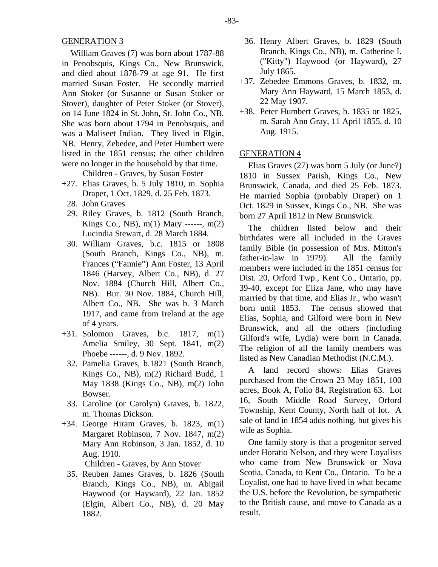William Graves (7) was born about 1787-88 in Penobsquis, Kings Co., New Brunswick, and died about 1878-79 at age 91. He first married Susan Foster. He secondly married Ann Stoker (or Susanne or Susan Stoker or Stover), daughter of Peter Stoker (or Stover), on 14 June 1824 in St. John, St. John Co., NB. She was born about 1794 in Penobsquis, and was a Maliseet Indian. They lived in Elgin, NB. Henry, Zebedee, and Peter Humbert were listed in the 1851 census; the other children were no longer in the household by that time.

Children - Graves, by Susan Foster

- +27. Elias Graves, b. 5 July 1810, m. Sophia Draper, 1 Oct. 1829, d. 25 Feb. 1873.
	- 28. John Graves
	- 29. Riley Graves, b. 1812 (South Branch, Kings Co., NB), m(1) Mary ------, m(2) Lucindia Stewart, d. 28 March 1884.
	- 30. William Graves, b.c. 1815 or 1808 (South Branch, Kings Co., NB), m. Frances ("Fannie") Ann Foster, 13 April 1846 (Harvey, Albert Co., NB), d. 27 Nov. 1884 (Church Hill, Albert Co., NB). Bur. 30 Nov. 1884, Church Hill, Albert Co., NB. She was b. 3 March 1917, and came from Ireland at the age of 4 years.
- +31. Solomon Graves, b.c. 1817, m(1) Amelia Smiley, 30 Sept. 1841, m(2) Phoebe ------, d. 9 Nov. 1892.
	- 32. Pamelia Graves, b.1821 (South Branch, Kings Co., NB), m(2) Richard Budd, 1 May 1838 (Kings Co., NB), m(2) John Bowser.
	- 33. Caroline (or Carolyn) Graves, b. 1822, m. Thomas Dickson.
- +34. George Hiram Graves, b. 1823, m(1) Margaret Robinson, 7 Nov. 1847, m(2) Mary Ann Robinson, 3 Jan. 1852, d. 10 Aug. 1910.

Children - Graves, by Ann Stover

 35. Reuben James Graves, b. 1826 (South Branch, Kings Co., NB), m. Abigail Haywood (or Hayward), 22 Jan. 1852 (Elgin, Albert Co., NB), d. 20 May 1882.

- 36. Henry Albert Graves, b. 1829 (South Branch, Kings Co., NB), m. Catherine I. ("Kitty") Haywood (or Hayward), 27 July 1865.
- +37. Zebedee Emmons Graves, b. 1832, m. Mary Ann Hayward, 15 March 1853, d. 22 May 1907.
- +38. Peter Humbert Graves, b. 1835 or 1825, m. Sarah Ann Gray, 11 April 1855, d. 10 Aug. 1915.

## GENERATION 4

Elias Graves (27) was born 5 July (or June?) 1810 in Sussex Parish, Kings Co., New Brunswick, Canada, and died 25 Feb. 1873. He married Sophia (probably Draper) on 1 Oct. 1829 in Sussex, Kings Co., NB. She was born 27 April 1812 in New Brunswick.

The children listed below and their birthdates were all included in the Graves family Bible (in possession of Mrs. Mitton's father-in-law in 1979). All the family members were included in the 1851 census for Dist. 20, Orford Twp., Kent Co., Ontario, pp. 39-40, except for Eliza Jane, who may have married by that time, and Elias Jr., who wasn't born until 1853. The census showed that Elias, Sophia, and Gilford were born in New Brunswick, and all the others (including Gilford's wife, Lydia) were born in Canada. The religion of all the family members was listed as New Canadian Methodist (N.C.M.).

A land record shows: Elias Graves purchased from the Crown 23 May 1851, 100 acres, Book A, Folio 84, Registration 63. Lot 16, South Middle Road Survey, Orford Township, Kent County, North half of lot. A sale of land in 1854 adds nothing, but gives his wife as Sophia.

One family story is that a progenitor served under Horatio Nelson, and they were Loyalists who came from New Brunswick or Nova Scotia, Canada, to Kent Co., Ontario. To be a Loyalist, one had to have lived in what became the U.S. before the Revolution, be sympathetic to the British cause, and move to Canada as a result.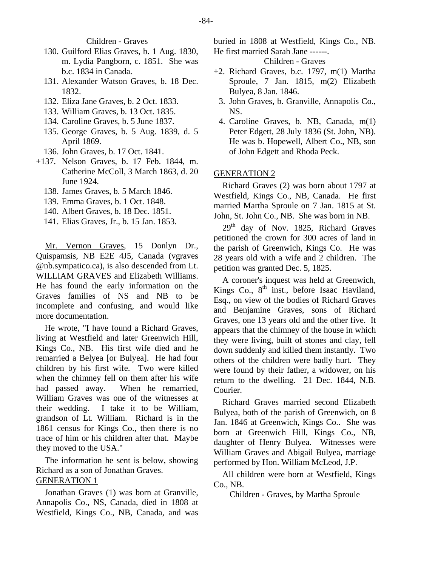Children - Graves

- 130. Guilford Elias Graves, b. 1 Aug. 1830, m. Lydia Pangborn, c. 1851. She was b.c. 1834 in Canada.
- 131. Alexander Watson Graves, b. 18 Dec. 1832.
- 132. Eliza Jane Graves, b. 2 Oct. 1833.
- 133. William Graves, b. 13 Oct. 1835.
- 134. Caroline Graves, b. 5 June 1837.
- 135. George Graves, b. 5 Aug. 1839, d. 5 April 1869.
- 136. John Graves, b. 17 Oct. 1841.
- +137. Nelson Graves, b. 17 Feb. 1844, m. Catherine McColl, 3 March 1863, d. 20 June 1924.
	- 138. James Graves, b. 5 March 1846.
	- 139. Emma Graves, b. 1 Oct. 1848.
	- 140. Albert Graves, b. 18 Dec. 1851.
	- 141. Elias Graves, Jr., b. 15 Jan. 1853.

Mr. Vernon Graves, 15 Donlyn Dr., Quispamsis, NB E2E 4J5, Canada (vgraves @nb.sympatico.ca), is also descended from Lt. WILLIAM GRAVES and Elizabeth Williams. He has found the early information on the Graves families of NS and NB to be incomplete and confusing, and would like more documentation.

He wrote, "I have found a Richard Graves, living at Westfield and later Greenwich Hill, Kings Co., NB. His first wife died and he remarried a Belyea [or Bulyea]. He had four children by his first wife. Two were killed when the chimney fell on them after his wife had passed away. When he remarried, William Graves was one of the witnesses at their wedding. I take it to be William, grandson of Lt. William. Richard is in the 1861 census for Kings Co., then there is no trace of him or his children after that. Maybe they moved to the USA."

The information he sent is below, showing Richard as a son of Jonathan Graves. GENERATION 1

Jonathan Graves (1) was born at Granville, Annapolis Co., NS, Canada, died in 1808 at Westfield, Kings Co., NB, Canada, and was

buried in 1808 at Westfield, Kings Co., NB. He first married Sarah Jane ------.

Children - Graves

- +2. Richard Graves, b.c. 1797, m(1) Martha Sproule, 7 Jan. 1815, m(2) Elizabeth Bulyea, 8 Jan. 1846.
	- 3. John Graves, b. Granville, Annapolis Co., NS.
	- 4. Caroline Graves, b. NB, Canada, m(1) Peter Edgett, 28 July 1836 (St. John, NB). He was b. Hopewell, Albert Co., NB, son of John Edgett and Rhoda Peck.

#### GENERATION 2

Richard Graves (2) was born about 1797 at Westfield, Kings Co., NB, Canada. He first married Martha Sproule on 7 Jan. 1815 at St. John, St. John Co., NB. She was born in NB.

29<sup>th</sup> day of Nov. 1825, Richard Graves petitioned the crown for 300 acres of land in the parish of Greenwich, Kings Co. He was 28 years old with a wife and 2 children. The petition was granted Dec. 5, 1825.

A coroner's inquest was held at Greenwich, Kings Co., 8<sup>th</sup> inst., before Isaac Haviland, Esq., on view of the bodies of Richard Graves and Benjamine Graves, sons of Richard Graves, one 13 years old and the other five. It appears that the chimney of the house in which they were living, built of stones and clay, fell down suddenly and killed them instantly. Two others of the children were badly hurt. They were found by their father, a widower, on his return to the dwelling. 21 Dec. 1844, N.B. Courier.

Richard Graves married second Elizabeth Bulyea, both of the parish of Greenwich, on 8 Jan. 1846 at Greenwich, Kings Co.. She was born at Greenwich Hill, Kings Co., NB, daughter of Henry Bulyea. Witnesses were William Graves and Abigail Bulyea, marriage performed by Hon. William McLeod, J.P.

All children were born at Westfield, Kings Co., NB.

Children - Graves, by Martha Sproule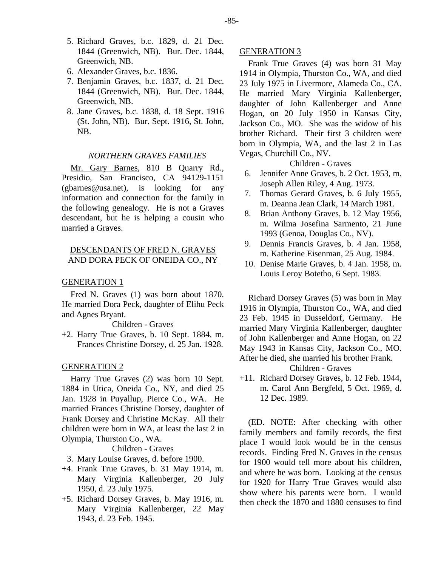- 5. Richard Graves, b.c. 1829, d. 21 Dec. 1844 (Greenwich, NB). Bur. Dec. 1844, Greenwich, NB.
- 6. Alexander Graves, b.c. 1836.
- 7. Benjamin Graves, b.c. 1837, d. 21 Dec. 1844 (Greenwich, NB). Bur. Dec. 1844, Greenwich, NB.
- 8. Jane Graves, b.c. 1838, d. 18 Sept. 1916 (St. John, NB). Bur. Sept. 1916, St. John, NB.

#### *NORTHERN GRAVES FAMILIES*

Mr. Gary Barnes, 810 B Quarry Rd., Presidio, San Francisco, CA 94129-1151 (gbarnes@usa.net), is looking for any information and connection for the family in the following genealogy. He is not a Graves descendant, but he is helping a cousin who married a Graves.

# DESCENDANTS OF FRED N. GRAVES AND DORA PECK OF ONEIDA CO., NY

#### GENERATION 1

Fred N. Graves (1) was born about 1870. He married Dora Peck, daughter of Elihu Peck and Agnes Bryant.

#### Children - Graves

+2. Harry True Graves, b. 10 Sept. 1884, m. Frances Christine Dorsey, d. 25 Jan. 1928.

#### GENERATION 2

Harry True Graves (2) was born 10 Sept. 1884 in Utica, Oneida Co., NY, and died 25 Jan. 1928 in Puyallup, Pierce Co., WA. He married Frances Christine Dorsey, daughter of Frank Dorsey and Christine McKay. All their children were born in WA, at least the last 2 in Olympia, Thurston Co., WA.

Children - Graves

3. Mary Louise Graves, d. before 1900.

- +4. Frank True Graves, b. 31 May 1914, m. Mary Virginia Kallenberger, 20 July 1950, d. 23 July 1975.
- +5. Richard Dorsey Graves, b. May 1916, m. Mary Virginia Kallenberger, 22 May 1943, d. 23 Feb. 1945.

## GENERATION 3

Frank True Graves (4) was born 31 May 1914 in Olympia, Thurston Co., WA, and died 23 July 1975 in Livermore, Alameda Co., CA. He married Mary Virginia Kallenberger, daughter of John Kallenberger and Anne Hogan, on 20 July 1950 in Kansas City, Jackson Co., MO. She was the widow of his brother Richard. Their first 3 children were born in Olympia, WA, and the last 2 in Las Vegas, Churchill Co., NV.

Children - Graves

- 6. Jennifer Anne Graves, b. 2 Oct. 1953, m. Joseph Allen Riley, 4 Aug. 1973.
- 7. Thomas Gerard Graves, b. 6 July 1955, m. Deanna Jean Clark, 14 March 1981.
- 8. Brian Anthony Graves, b. 12 May 1956, m. Wilma Josefina Sarmento, 21 June 1993 (Genoa, Douglas Co., NV).
- 9. Dennis Francis Graves, b. 4 Jan. 1958, m. Katherine Eisenman, 25 Aug. 1984.
- 10. Denise Marie Graves, b. 4 Jan. 1958, m. Louis Leroy Botetho, 6 Sept. 1983.

Richard Dorsey Graves (5) was born in May 1916 in Olympia, Thurston Co., WA, and died 23 Feb. 1945 in Dusseldorf, Germany. He married Mary Virginia Kallenberger, daughter of John Kallenberger and Anne Hogan, on 22 May 1943 in Kansas City, Jackson Co., MO. After he died, she married his brother Frank.

#### Children - Graves

+11. Richard Dorsey Graves, b. 12 Feb. 1944, m. Carol Ann Bergfeld, 5 Oct. 1969, d. 12 Dec. 1989.

(ED. NOTE: After checking with other family members and family records, the first place I would look would be in the census records. Finding Fred N. Graves in the census for 1900 would tell more about his children, and where he was born. Looking at the census for 1920 for Harry True Graves would also show where his parents were born. I would then check the 1870 and 1880 censuses to find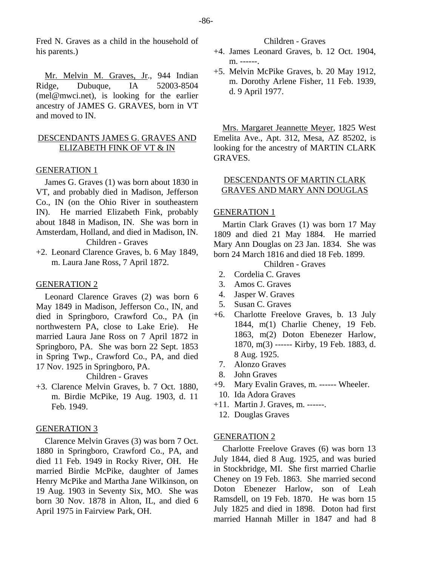Fred N. Graves as a child in the household of his parents.)

Mr. Melvin M. Graves, Jr., 944 Indian Ridge, Dubuque, IA 52003-8504 (mel@mwci.net), is looking for the earlier ancestry of JAMES G. GRAVES, born in VT and moved to IN.

# DESCENDANTS JAMES G. GRAVES AND ELIZABETH FINK OF VT & IN

#### GENERATION 1

James G. Graves (1) was born about 1830 in VT, and probably died in Madison, Jefferson Co., IN (on the Ohio River in southeastern IN). He married Elizabeth Fink, probably about 1848 in Madison, IN. She was born in Amsterdam, Holland, and died in Madison, IN. Children - Graves

+2. Leonard Clarence Graves, b. 6 May 1849, m. Laura Jane Ross, 7 April 1872.

# GENERATION 2

Leonard Clarence Graves (2) was born 6 May 1849 in Madison, Jefferson Co., IN, and died in Springboro, Crawford Co., PA (in northwestern PA, close to Lake Erie). He married Laura Jane Ross on 7 April 1872 in Springboro, PA. She was born 22 Sept. 1853 in Spring Twp., Crawford Co., PA, and died 17 Nov. 1925 in Springboro, PA.

Children - Graves

+3. Clarence Melvin Graves, b. 7 Oct. 1880, m. Birdie McPike, 19 Aug. 1903, d. 11 Feb. 1949.

# GENERATION 3

Clarence Melvin Graves (3) was born 7 Oct. 1880 in Springboro, Crawford Co., PA, and died 11 Feb. 1949 in Rocky River, OH. He married Birdie McPike, daughter of James Henry McPike and Martha Jane Wilkinson, on 19 Aug. 1903 in Seventy Six, MO. She was born 30 Nov. 1878 in Alton, IL, and died 6 April 1975 in Fairview Park, OH.

Children - Graves

- +4. James Leonard Graves, b. 12 Oct. 1904, m. ------.
- +5. Melvin McPike Graves, b. 20 May 1912, m. Dorothy Arlene Fisher, 11 Feb. 1939, d. 9 April 1977.

Mrs. Margaret Jeannette Meyer, 1825 West Emelita Ave., Apt. 312, Mesa, AZ 85202, is looking for the ancestry of MARTIN CLARK GRAVES.

# DESCENDANTS OF MARTIN CLARK GRAVES AND MARY ANN DOUGLAS

# GENERATION 1

Martin Clark Graves (1) was born 17 May 1809 and died 21 May 1884. He married Mary Ann Douglas on 23 Jan. 1834. She was born 24 March 1816 and died 18 Feb. 1899.

Children - Graves

- 2. Cordelia C. Graves
- 3. Amos C. Graves
- 4. Jasper W. Graves
- 5. Susan C. Graves
- +6. Charlotte Freelove Graves, b. 13 July 1844, m(1) Charlie Cheney, 19 Feb. 1863, m(2) Doton Ebenezer Harlow, 1870, m(3) ------ Kirby, 19 Feb. 1883, d. 8 Aug. 1925.
- 7. Alonzo Graves
- 8. John Graves
- +9. Mary Evalin Graves, m. ------ Wheeler.
- 10. Ida Adora Graves
- +11. Martin J. Graves, m. ------.
- 12. Douglas Graves

#### GENERATION 2

Charlotte Freelove Graves (6) was born 13 July 1844, died 8 Aug. 1925, and was buried in Stockbridge, MI. She first married Charlie Cheney on 19 Feb. 1863. She married second Doton Ebenezer Harlow, son of Leah Ramsdell, on 19 Feb. 1870. He was born 15 July 1825 and died in 1898. Doton had first married Hannah Miller in 1847 and had 8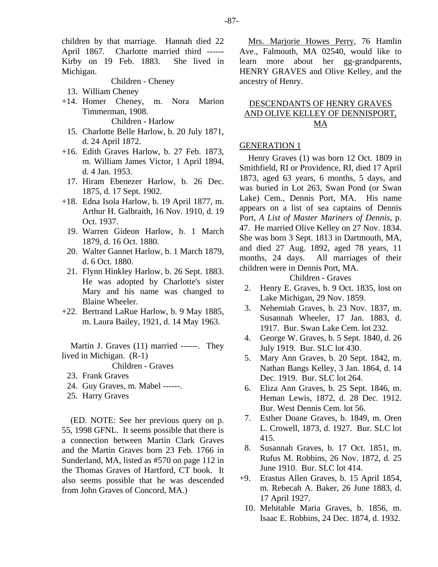children by that marriage. Hannah died 22 April 1867. Charlotte married third ------ Kirby on 19 Feb. 1883. She lived in Michigan.

#### Children - Cheney

- 13. William Cheney
- +14. Homer Cheney, m. Nora Marion Timmerman, 1908. Children - Harlow
	- 15. Charlotte Belle Harlow, b. 20 July 1871, d. 24 April 1872.
- +16. Edith Graves Harlow, b. 27 Feb. 1873, m. William James Victor, 1 April 1894, d. 4 Jan. 1953.
	- 17. Hiram Ebenezer Harlow, b. 26 Dec. 1875, d. 17 Sept. 1902.
- +18. Edna Isola Harlow, b. 19 April 1877, m. Arthur H. Galbraith, 16 Nov. 1910, d. 19 Oct. 1937.
	- 19. Warren Gideon Harlow, b. 1 March 1879, d. 16 Oct. 1880.
	- 20. Walter Gannet Harlow, b. 1 March 1879, d. 6 Oct. 1880.
	- 21. Flynn Hinkley Harlow, b. 26 Sept. 1883. He was adopted by Charlotte's sister Mary and his name was changed to Blaine Wheeler.
- +22. Bertrand LaRue Harlow, b. 9 May 1885, m. Laura Bailey, 1921, d. 14 May 1963.

Martin J. Graves (11) married ------. They lived in Michigan. (R-1)

Children - Graves

- 23. Frank Graves
- 24. Guy Graves, m. Mabel ------.
- 25. Harry Graves

(ED. NOTE: See her previous query on p. 55, 1998 GFNL. It seems possible that there is a connection between Martin Clark Graves and the Martin Graves born 23 Feb. 1766 in Sunderland, MA, listed as #570 on page 112 in the Thomas Graves of Hartford, CT book. It also seems possible that he was descended from John Graves of Concord, MA.)

Mrs. Marjorie Howes Perry, 76 Hamlin Ave., Falmouth, MA 02540, would like to learn more about her gg-grandparents, HENRY GRAVES and Olive Kelley, and the ancestry of Henry.

# DESCENDANTS OF HENRY GRAVES AND OLIVE KELLEY OF DENNISPORT, MA

## GENERATION 1

Henry Graves (1) was born 12 Oct. 1809 in Smithfield, RI or Providence, RI, died 17 April 1873, aged 63 years, 6 months, 5 days, and was buried in Lot 263, Swan Pond (or Swan Lake) Cem., Dennis Port, MA. His name appears on a list of sea captains of Dennis Port, *A List of Master Mariners of Dennis*, p. 47. He married Olive Kelley on 27 Nov. 1834. She was born 3 Sept. 1813 in Dartmouth, MA, and died 27 Aug. 1892, aged 78 years, 11 months, 24 days. All marriages of their children were in Dennis Port, MA.

Children - Graves

- 2. Henry E. Graves, b. 9 Oct. 1835, lost on Lake Michigan, 29 Nov. 1859.
- 3. Nehemiah Graves, b. 23 Nov. 1837, m. Susannah Wheeler, 17 Jan. 1883, d. 1917. Bur. Swan Lake Cem. lot 232.
- 4. George W. Graves, b. 5 Sept. 1840, d. 26 July 1919. Bur. SLC lot 430.
- 5. Mary Ann Graves, b. 20 Sept. 1842, m. Nathan Bangs Kelley, 3 Jan. 1864, d. 14 Dec. 1919. Bur. SLC lot 264.
- 6. Eliza Ann Graves, b. 25 Sept. 1846, m. Heman Lewis, 1872, d. 28 Dec. 1912. Bur. West Dennis Cem. lot 56.
- 7. Esther Doane Graves, b. 1849, m. Oren L. Crowell, 1873, d. 1927. Bur. SLC lot 415.
- 8. Susannah Graves, b. 17 Oct. 1851, m. Rufus M. Robbins, 26 Nov. 1872, d. 25 June 1910. Bur. SLC lot 414.
- +9. Erastus Allen Graves, b. 15 April 1854, m. Rebecah A. Baker, 26 June 1883, d. 17 April 1927.
- 10. Mehitable Maria Graves, b. 1856, m. Isaac E. Robbins, 24 Dec. 1874, d. 1932.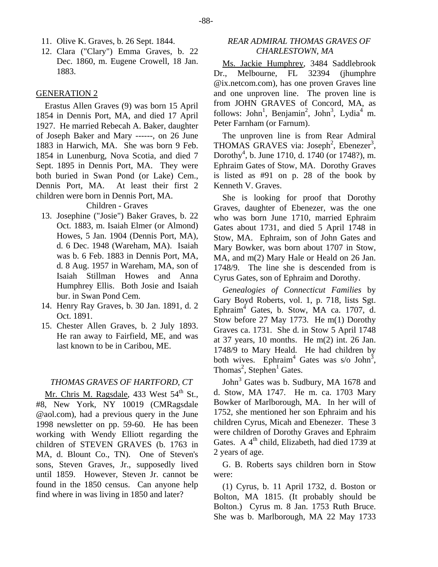- 11. Olive K. Graves, b. 26 Sept. 1844.
- 12. Clara ("Clary") Emma Graves, b. 22 Dec. 1860, m. Eugene Crowell, 18 Jan. 1883.

#### GENERATION 2

Erastus Allen Graves (9) was born 15 April 1854 in Dennis Port, MA, and died 17 April 1927. He married Rebecah A. Baker, daughter of Joseph Baker and Mary ------, on 26 June 1883 in Harwich, MA. She was born 9 Feb. 1854 in Lunenburg, Nova Scotia, and died 7 Sept. 1895 in Dennis Port, MA. They were both buried in Swan Pond (or Lake) Cem., Dennis Port, MA. At least their first 2 children were born in Dennis Port, MA.

# Children - Graves

- 13. Josephine ("Josie") Baker Graves, b. 22 Oct. 1883, m. Isaiah Elmer (or Almond) Howes, 5 Jan. 1904 (Dennis Port, MA), d. 6 Dec. 1948 (Wareham, MA). Isaiah was b. 6 Feb. 1883 in Dennis Port, MA, d. 8 Aug. 1957 in Wareham, MA, son of Isaiah Stillman Howes and Anna Humphrey Ellis. Both Josie and Isaiah bur. in Swan Pond Cem.
- 14. Henry Ray Graves, b. 30 Jan. 1891, d. 2 Oct. 1891.
- 15. Chester Allen Graves, b. 2 July 1893. He ran away to Fairfield, ME, and was last known to be in Caribou, ME.

## *THOMAS GRAVES OF HARTFORD, CT*

Mr. Chris M. Ragsdale, 433 West 54<sup>th</sup> St., #8, New York, NY 10019 (CMRagsdale @aol.com), had a previous query in the June 1998 newsletter on pp. 59-60. He has been working with Wendy Elliott regarding the children of STEVEN GRAVES (b. 1763 in MA, d. Blount Co., TN). One of Steven's sons, Steven Graves, Jr., supposedly lived until 1859. However, Steven Jr. cannot be found in the 1850 census. Can anyone help find where in was living in 1850 and later?

# *REAR ADMIRAL THOMAS GRAVES OF CHARLESTOWN, MA*

Ms. Jackie Humphrey, 3484 Saddlebrook Dr., Melbourne, FL 32394 (jhumphre @ix.netcom.com), has one proven Graves line and one unproven line. The proven line is from JOHN GRAVES of Concord, MA, as follows: John<sup>1</sup>, Benjamin<sup>2</sup>, John<sup>3</sup>, Lydia<sup>4</sup> m. Peter Farnham (or Farnum).

The unproven line is from Rear Admiral THOMAS GRAVES via: Joseph<sup>2</sup>, Ebenezer<sup>3</sup>, Dorothy<sup>4</sup>, b. June 1710, d. 1740 (or 1748?), m. Ephraim Gates of Stow, MA. Dorothy Graves is listed as #91 on p. 28 of the book by Kenneth V. Graves.

She is looking for proof that Dorothy Graves, daughter of Ebenezer, was the one who was born June 1710, married Ephraim Gates about 1731, and died 5 April 1748 in Stow, MA. Ephraim, son of John Gates and Mary Bowker, was born about 1707 in Stow, MA, and m(2) Mary Hale or Heald on 26 Jan. 1748/9. The line she is descended from is Cyrus Gates, son of Ephraim and Dorothy.

*Genealogies of Connecticut Families* by Gary Boyd Roberts, vol. 1, p. 718, lists Sgt. Ephraim<sup>4</sup> Gates, b. Stow, MA ca. 1707, d. Stow before 27 May 1773. He m(1) Dorothy Graves ca. 1731. She d. in Stow 5 April 1748 at 37 years, 10 months. He m(2) int. 26 Jan. 1748/9 to Mary Heald. He had children by both wives. Ephraim<sup>4</sup> Gates was s/o John<sup>3</sup>, Thomas<sup>2</sup>, Stephen<sup>1</sup> Gates.

John<sup>3</sup> Gates was b. Sudbury, MA 1678 and d. Stow, MA 1747. He m. ca. 1703 Mary Bowker of Marlborough, MA. In her will of 1752, she mentioned her son Ephraim and his children Cyrus, Micah and Ebenezer. These 3 were children of Dorothy Graves and Ephraim Gates. A  $4<sup>th</sup>$  child, Elizabeth, had died 1739 at 2 years of age.

G. B. Roberts says children born in Stow were:

(1) Cyrus, b. 11 April 1732, d. Boston or Bolton, MA 1815. (It probably should be Bolton.) Cyrus m. 8 Jan. 1753 Ruth Bruce. She was b. Marlborough, MA 22 May 1733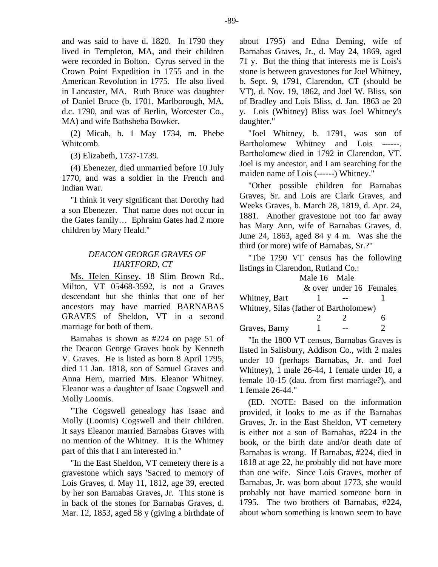and was said to have d. 1820. In 1790 they lived in Templeton, MA, and their children were recorded in Bolton. Cyrus served in the Crown Point Expedition in 1755 and in the American Revolution in 1775. He also lived in Lancaster, MA. Ruth Bruce was daughter of Daniel Bruce (b. 1701, Marlborough, MA, d.c. 1790, and was of Berlin, Worcester Co., MA) and wife Bathsheba Bowker.

(2) Micah, b. 1 May 1734, m. Phebe Whitcomb.

(3) Elizabeth, 1737-1739.

(4) Ebenezer, died unmarried before 10 July 1770, and was a soldier in the French and Indian War.

"I think it very significant that Dorothy had a son Ebenezer. That name does not occur in the Gates family… Ephraim Gates had 2 more children by Mary Heald."

# *DEACON GEORGE GRAVES OF HARTFORD, CT*

Ms. Helen Kinsey, 18 Slim Brown Rd., Milton, VT 05468-3592, is not a Graves descendant but she thinks that one of her ancestors may have married BARNABAS GRAVES of Sheldon, VT in a second marriage for both of them.

Barnabas is shown as #224 on page 51 of the Deacon George Graves book by Kenneth V. Graves. He is listed as born 8 April 1795, died 11 Jan. 1818, son of Samuel Graves and Anna Hern, married Mrs. Eleanor Whitney. Eleanor was a daughter of Isaac Cogswell and Molly Loomis.

"The Cogswell genealogy has Isaac and Molly (Loomis) Cogswell and their children. It says Eleanor married Barnabas Graves with no mention of the Whitney. It is the Whitney part of this that I am interested in."

"In the East Sheldon, VT cemetery there is a gravestone which says 'Sacred to memory of Lois Graves, d. May 11, 1812, age 39, erected by her son Barnabas Graves, Jr. This stone is in back of the stones for Barnabas Graves, d. Mar. 12, 1853, aged 58 y (giving a birthdate of about 1795) and Edna Deming, wife of Barnabas Graves, Jr., d. May 24, 1869, aged 71 y. But the thing that interests me is Lois's stone is between gravestones for Joel Whitney, b. Sept. 9, 1791, Clarendon, CT (should be VT), d. Nov. 19, 1862, and Joel W. Bliss, son of Bradley and Lois Bliss, d. Jan. 1863 ae 20 y. Lois (Whitney) Bliss was Joel Whitney's daughter."

"Joel Whitney, b. 1791, was son of Bartholomew Whitney and Lois ------. Bartholomew died in 1792 in Clarendon, VT. Joel is my ancestor, and I am searching for the maiden name of Lois (------) Whitney."

"Other possible children for Barnabas Graves, Sr. and Lois are Clark Graves, and Weeks Graves, b. March 28, 1819, d. Apr. 24, 1881. Another gravestone not too far away has Mary Ann, wife of Barnabas Graves, d. June 24, 1863, aged 84 y 4 m. Was she the third (or more) wife of Barnabas, Sr.?"

"The 1790 VT census has the following listings in Clarendon, Rutland Co.:

|                                        | Male 16 Male |                         |  |  |
|----------------------------------------|--------------|-------------------------|--|--|
|                                        |              | & over under 16 Females |  |  |
| Whitney, Bart                          |              |                         |  |  |
| Whitney, Silas (father of Bartholomew) |              |                         |  |  |
|                                        |              |                         |  |  |
| Graves, Barny                          |              |                         |  |  |

"In the 1800 VT census, Barnabas Graves is listed in Salisbury, Addison Co., with 2 males under 10 (perhaps Barnabas, Jr. and Joel Whitney), 1 male 26-44, 1 female under 10, a female 10-15 (dau. from first marriage?), and 1 female 26-44."

(ED. NOTE: Based on the information provided, it looks to me as if the Barnabas Graves, Jr. in the East Sheldon, VT cemetery is either not a son of Barnabas, #224 in the book, or the birth date and/or death date of Barnabas is wrong. If Barnabas, #224, died in 1818 at age 22, he probably did not have more than one wife. Since Lois Graves, mother of Barnabas, Jr. was born about 1773, she would probably not have married someone born in 1795. The two brothers of Barnabas, #224, about whom something is known seem to have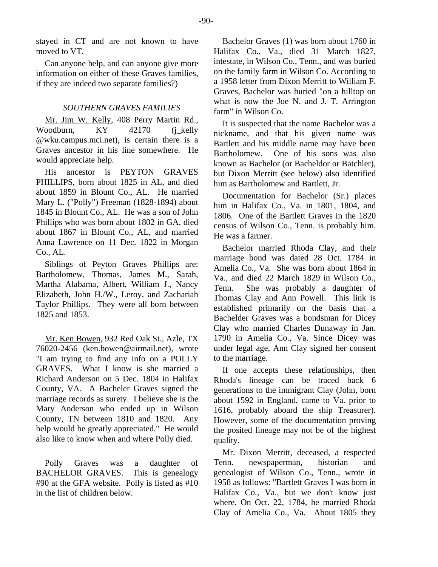stayed in CT and are not known to have moved to VT.

Can anyone help, and can anyone give more information on either of these Graves families, if they are indeed two separate families?)

# *SOUTHERN GRAVES FAMILIES*

Mr. Jim W. Kelly, 408 Perry Martin Rd., Woodburn, KY 42170 (j\_kelly @wku.campus.mci.net), is certain there is a Graves ancestor in his line somewhere. He would appreciate help.

His ancestor is PEYTON GRAVES PHILLIPS, born about 1825 in AL, and died about 1859 in Blount Co., AL. He married Mary L. ("Polly") Freeman (1828-1894) about 1845 in Blount Co., AL. He was a son of John Phillips who was born about 1802 in GA, died about 1867 in Blount Co., AL, and married Anna Lawrence on 11 Dec. 1822 in Morgan Co., AL.

Siblings of Peyton Graves Phillips are: Bartholomew, Thomas, James M., Sarah, Martha Alabama, Albert, William J., Nancy Elizabeth, John H./W., Leroy, and Zachariah Taylor Phillips. They were all born between 1825 and 1853.

Mr. Ken Bowen, 932 Red Oak St., Azle, TX 76020-2456 (ken.bowen@airmail.net), wrote "I am trying to find any info on a POLLY GRAVES. What I know is she married a Richard Anderson on 5 Dec. 1804 in Halifax County, VA. A Bacheler Graves signed the marriage records as surety. I believe she is the Mary Anderson who ended up in Wilson County, TN between 1810 and 1820. Any help would be greatly appreciated." He would also like to know when and where Polly died.

Polly Graves was a daughter of BACHELOR GRAVES. This is genealogy #90 at the GFA website. Polly is listed as #10 in the list of children below.

Bachelor Graves (1) was born about 1760 in Halifax Co., Va., died 31 March 1827, intestate, in Wilson Co., Tenn., and was buried on the family farm in Wilson Co. According to a 1958 letter from Dixon Merritt to William F. Graves, Bachelor was buried "on a hilltop on what is now the Joe N. and J. T. Arrington farm" in Wilson Co.

It is suspected that the name Bachelor was a nickname, and that his given name was Bartlett and his middle name may have been Bartholomew. One of his sons was also known as Bachelor (or Bacheldor or Batchler), but Dixon Merritt (see below) also identified him as Bartholomew and Bartlett, Jr.

Documentation for Bachelor (Sr.) places him in Halifax Co., Va. in 1801, 1804, and 1806. One of the Bartlett Graves in the 1820 census of Wilson Co., Tenn. is probably him. He was a farmer.

Bachelor married Rhoda Clay, and their marriage bond was dated 28 Oct. 1784 in Amelia Co., Va. She was born about 1864 in Va., and died 22 March 1829 in Wilson Co., Tenn. She was probably a daughter of Thomas Clay and Ann Powell. This link is established primarily on the basis that a Bachelder Graves was a bondsman for Dicey Clay who married Charles Dunaway in Jan. 1790 in Amelia Co., Va. Since Dicey was under legal age, Ann Clay signed her consent to the marriage.

If one accepts these relationships, then Rhoda's lineage can be traced back 6 generations to the immigrant Clay (John, born about 1592 in England, came to Va. prior to 1616, probably aboard the ship Treasurer). However, some of the documentation proving the posited lineage may not be of the highest quality.

Mr. Dixon Merritt, deceased, a respected Tenn. newspaperman, historian and genealogist of Wilson Co., Tenn., wrote in 1958 as follows: "Bartlett Graves I was born in Halifax Co., Va., but we don't know just where. On Oct. 22, 1784, he married Rhoda Clay of Amelia Co., Va. About 1805 they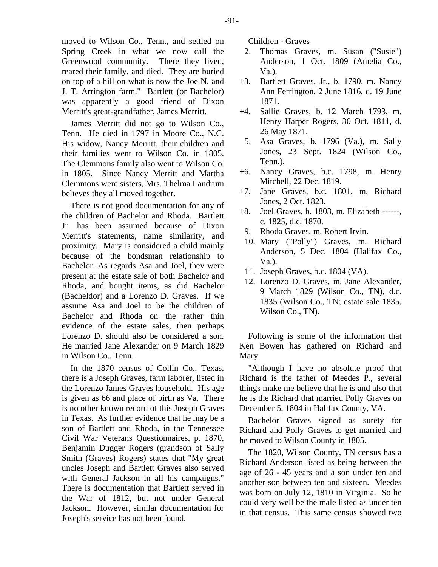moved to Wilson Co., Tenn., and settled on Spring Creek in what we now call the Greenwood community. There they lived, reared their family, and died. They are buried on top of a hill on what is now the Joe N. and J. T. Arrington farm." Bartlett (or Bachelor) was apparently a good friend of Dixon Merritt's great-grandfather, James Merritt.

James Merritt did not go to Wilson Co., Tenn. He died in 1797 in Moore Co., N.C. His widow, Nancy Merritt, their children and their families went to Wilson Co. in 1805. The Clemmons family also went to Wilson Co. in 1805. Since Nancy Merritt and Martha Clemmons were sisters, Mrs. Thelma Landrum believes they all moved together.

There is not good documentation for any of the children of Bachelor and Rhoda. Bartlett Jr. has been assumed because of Dixon Merritt's statements, name similarity, and proximity. Mary is considered a child mainly because of the bondsman relationship to Bachelor. As regards Asa and Joel, they were present at the estate sale of both Bachelor and Rhoda, and bought items, as did Bachelor (Bacheldor) and a Lorenzo D. Graves. If we assume Asa and Joel to be the children of Bachelor and Rhoda on the rather thin evidence of the estate sales, then perhaps Lorenzo D. should also be considered a son. He married Jane Alexander on 9 March 1829 in Wilson Co., Tenn.

In the 1870 census of Collin Co., Texas, there is a Joseph Graves, farm laborer, listed in the Lorenzo James Graves household. His age is given as 66 and place of birth as Va. There is no other known record of this Joseph Graves in Texas. As further evidence that he may be a son of Bartlett and Rhoda, in the Tennessee Civil War Veterans Questionnaires, p. 1870, Benjamin Dugger Rogers (grandson of Sally Smith (Graves) Rogers) states that "My great uncles Joseph and Bartlett Graves also served with General Jackson in all his campaigns." There is documentation that Bartlett served in the War of 1812, but not under General Jackson. However, similar documentation for Joseph's service has not been found.

Children - Graves

- 2. Thomas Graves, m. Susan ("Susie") Anderson, 1 Oct. 1809 (Amelia Co., Va.).
- +3. Bartlett Graves, Jr., b. 1790, m. Nancy Ann Ferrington, 2 June 1816, d. 19 June 1871.
- +4. Sallie Graves, b. 12 March 1793, m. Henry Harper Rogers, 30 Oct. 1811, d. 26 May 1871.
- 5. Asa Graves, b. 1796 (Va.), m. Sally Jones, 23 Sept. 1824 (Wilson Co., Tenn.).
- +6. Nancy Graves, b.c. 1798, m. Henry Mitchell, 22 Dec. 1819.
- +7. Jane Graves, b.c. 1801, m. Richard Jones, 2 Oct. 1823.
- +8. Joel Graves, b. 1803, m. Elizabeth ------, c. 1825, d.c. 1870.
	- 9. Rhoda Graves, m. Robert Irvin.
	- 10. Mary ("Polly") Graves, m. Richard Anderson, 5 Dec. 1804 (Halifax Co., Va.).
	- 11. Joseph Graves, b.c. 1804 (VA).
	- 12. Lorenzo D. Graves, m. Jane Alexander, 9 March 1829 (Wilson Co., TN), d.c. 1835 (Wilson Co., TN; estate sale 1835, Wilson Co., TN).

Following is some of the information that Ken Bowen has gathered on Richard and Mary.

"Although I have no absolute proof that Richard is the father of Meedes P., several things make me believe that he is and also that he is the Richard that married Polly Graves on December 5, 1804 in Halifax County, VA.

Bachelor Graves signed as surety for Richard and Polly Graves to get married and he moved to Wilson County in 1805.

The 1820, Wilson County, TN census has a Richard Anderson listed as being between the age of 26 - 45 years and a son under ten and another son between ten and sixteen. Meedes was born on July 12, 1810 in Virginia. So he could very well be the male listed as under ten in that census. This same census showed two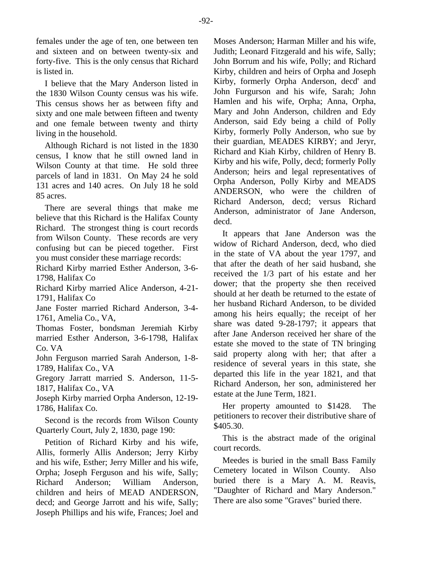females under the age of ten, one between ten and sixteen and on between twenty-six and forty-five. This is the only census that Richard is listed in.

I believe that the Mary Anderson listed in the 1830 Wilson County census was his wife. This census shows her as between fifty and sixty and one male between fifteen and twenty and one female between twenty and thirty living in the household.

Although Richard is not listed in the 1830 census, I know that he still owned land in Wilson County at that time. He sold three parcels of land in 1831. On May 24 he sold 131 acres and 140 acres. On July 18 he sold 85 acres.

There are several things that make me believe that this Richard is the Halifax County Richard. The strongest thing is court records from Wilson County. These records are very confusing but can be pieced together. First you must consider these marriage records:

Richard Kirby married Esther Anderson, 3-6- 1798, Halifax Co

Richard Kirby married Alice Anderson, 4-21- 1791, Halifax Co

Jane Foster married Richard Anderson, 3-4- 1761, Amelia Co., VA,

Thomas Foster, bondsman Jeremiah Kirby married Esther Anderson, 3-6-1798, Halifax Co. VA

John Ferguson married Sarah Anderson, 1-8- 1789, Halifax Co., VA

Gregory Jarratt married S. Anderson, 11-5- 1817, Halifax Co., VA

Joseph Kirby married Orpha Anderson, 12-19- 1786, Halifax Co.

Second is the records from Wilson County Quarterly Court, July 2, 1830, page 190:

Petition of Richard Kirby and his wife, Allis, formerly Allis Anderson; Jerry Kirby and his wife, Esther; Jerry Miller and his wife, Orpha; Joseph Ferguson and his wife, Sally; Richard Anderson; William Anderson, children and heirs of MEAD ANDERSON, decd; and George Jarrott and his wife, Sally; Joseph Phillips and his wife, Frances; Joel and

Moses Anderson; Harman Miller and his wife, Judith; Leonard Fitzgerald and his wife, Sally; John Borrum and his wife, Polly; and Richard Kirby, children and heirs of Orpha and Joseph Kirby, formerly Orpha Anderson, decd' and John Furgurson and his wife, Sarah; John Hamlen and his wife, Orpha; Anna, Orpha, Mary and John Anderson, children and Edy Anderson, said Edy being a child of Polly Kirby, formerly Polly Anderson, who sue by their guardian, MEADES KIRBY; and Jeryr, Richard and Kiah Kirby, children of Henry B. Kirby and his wife, Polly, decd; formerly Polly Anderson; heirs and legal representatives of Orpha Anderson, Polly Kirby and MEADS ANDERSON, who were the children of Richard Anderson, decd; versus Richard Anderson, administrator of Jane Anderson, decd.

It appears that Jane Anderson was the widow of Richard Anderson, decd, who died in the state of VA about the year 1797, and that after the death of her said husband, she received the 1/3 part of his estate and her dower; that the property she then received should at her death be returned to the estate of her husband Richard Anderson, to be divided among his heirs equally; the receipt of her share was dated 9-28-1797; it appears that after Jane Anderson received her share of the estate she moved to the state of TN bringing said property along with her; that after a residence of several years in this state, she departed this life in the year 1821, and that Richard Anderson, her son, administered her estate at the June Term, 1821.

Her property amounted to \$1428. The petitioners to recover their distributive share of \$405.30.

This is the abstract made of the original court records.

Meedes is buried in the small Bass Family Cemetery located in Wilson County. Also buried there is a Mary A. M. Reavis, "Daughter of Richard and Mary Anderson." There are also some "Graves" buried there.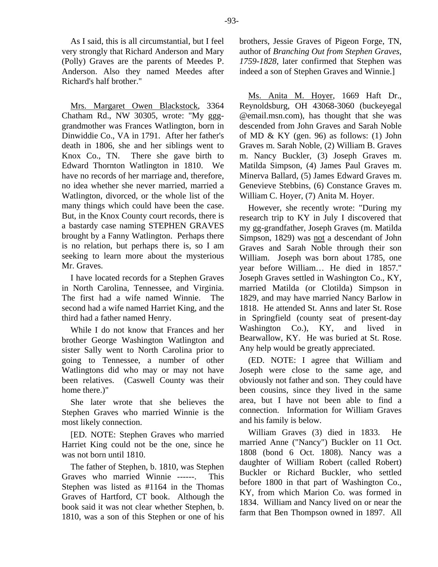As I said, this is all circumstantial, but I feel very strongly that Richard Anderson and Mary (Polly) Graves are the parents of Meedes P. Anderson. Also they named Meedes after Richard's half brother."

Mrs. Margaret Owen Blackstock, 3364 Chatham Rd., NW 30305, wrote: "My ggggrandmother was Frances Watlington, born in Dinwiddie Co., VA in 1791. After her father's death in 1806, she and her siblings went to Knox Co., TN. There she gave birth to Edward Thornton Watlington in 1810. We have no records of her marriage and, therefore, no idea whether she never married, married a Watlington, divorced, or the whole list of the many things which could have been the case. But, in the Knox County court records, there is a bastardy case naming STEPHEN GRAVES brought by a Fanny Watlington. Perhaps there is no relation, but perhaps there is, so I am seeking to learn more about the mysterious Mr. Graves.

I have located records for a Stephen Graves in North Carolina, Tennessee, and Virginia. The first had a wife named Winnie. The second had a wife named Harriet King, and the third had a father named Henry.

While I do not know that Frances and her brother George Washington Watlington and sister Sally went to North Carolina prior to going to Tennessee, a number of other Watlingtons did who may or may not have been relatives. (Caswell County was their home there.)"

She later wrote that she believes the Stephen Graves who married Winnie is the most likely connection.

[ED. NOTE: Stephen Graves who married Harriet King could not be the one, since he was not born until 1810.

The father of Stephen, b. 1810, was Stephen Graves who married Winnie ------. This Stephen was listed as #1164 in the Thomas Graves of Hartford, CT book. Although the book said it was not clear whether Stephen, b. 1810, was a son of this Stephen or one of his brothers, Jessie Graves of Pigeon Forge, TN, author of *Branching Out from Stephen Graves, 1759-1828*, later confirmed that Stephen was indeed a son of Stephen Graves and Winnie.]

Ms. Anita M. Hoyer, 1669 Haft Dr., Reynoldsburg, OH 43068-3060 (buckeyegal @email.msn.com), has thought that she was descended from John Graves and Sarah Noble of MD  $&$  KY (gen. 96) as follows: (1) John Graves m. Sarah Noble, (2) William B. Graves m. Nancy Buckler, (3) Joseph Graves m. Matilda Simpson, (4) James Paul Graves m. Minerva Ballard, (5) James Edward Graves m. Genevieve Stebbins, (6) Constance Graves m. William C. Hoyer, (7) Anita M. Hoyer.

However, she recently wrote: "During my research trip to KY in July I discovered that my gg-grandfather, Joseph Graves (m. Matilda Simpson, 1829) was not a descendant of John Graves and Sarah Noble through their son William. Joseph was born about 1785, one year before William… He died in 1857." Joseph Graves settled in Washington Co., KY, married Matilda (or Clotilda) Simpson in 1829, and may have married Nancy Barlow in 1818. He attended St. Anns and later St. Rose in Springfield (county seat of present-day Washington Co.), KY, and lived in Bearwallow, KY. He was buried at St. Rose. Any help would be greatly appreciated.

(ED. NOTE: I agree that William and Joseph were close to the same age, and obviously not father and son. They could have been cousins, since they lived in the same area, but I have not been able to find a connection. Information for William Graves and his family is below.

William Graves (3) died in 1833. He married Anne ("Nancy") Buckler on 11 Oct. 1808 (bond 6 Oct. 1808). Nancy was a daughter of William Robert (called Robert) Buckler or Richard Buckler, who settled before 1800 in that part of Washington Co., KY, from which Marion Co. was formed in 1834. William and Nancy lived on or near the farm that Ben Thompson owned in 1897. All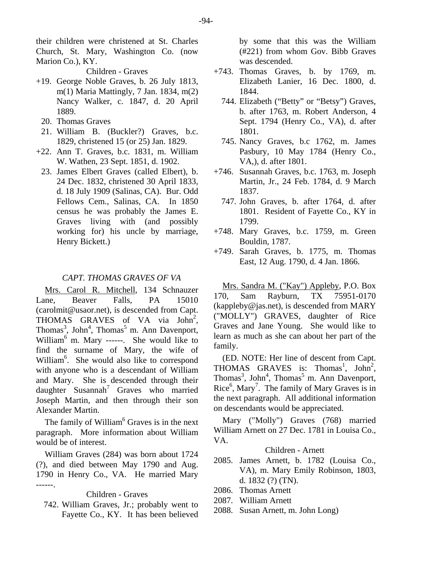their children were christened at St. Charles Church, St. Mary, Washington Co. (now Marion Co.), KY.

Children - Graves

- +19. George Noble Graves, b. 26 July 1813, m(1) Maria Mattingly, 7 Jan. 1834, m(2) Nancy Walker, c. 1847, d. 20 April 1889.
	- 20. Thomas Graves
- 21. William B. (Buckler?) Graves, b.c. 1829, christened 15 (or 25) Jan. 1829.
- +22. Ann T. Graves, b.c. 1831, m. William W. Wathen, 23 Sept. 1851, d. 1902.
- 23. James Elbert Graves (called Elbert), b. 24 Dec. 1832, christened 30 April 1833, d. 18 July 1909 (Salinas, CA). Bur. Odd Fellows Cem., Salinas, CA. In 1850 census he was probably the James E. Graves living with (and possibly working for) his uncle by marriage, Henry Bickett.)

#### *CAPT. THOMAS GRAVES OF VA*

Mrs. Carol R. Mitchell, 134 Schnauzer Lane, Beaver Falls, PA 15010 (carolmit@usaor.net), is descended from Capt. THOMAS GRAVES of VA via John<sup>2</sup>, Thomas<sup>3</sup>, John<sup>4</sup>, Thomas<sup>5</sup> m. Ann Davenport, William<sup>6</sup> m. Mary ------. She would like to find the surname of Mary, the wife of William<sup>6</sup>. She would also like to correspond with anyone who is a descendant of William and Mary. She is descended through their daughter Susannah<sup>7</sup> Graves who married Joseph Martin, and then through their son Alexander Martin.

The family of William<sup>6</sup> Graves is in the next paragraph. More information about William would be of interest.

William Graves (284) was born about 1724 (?), and died between May 1790 and Aug. 1790 in Henry Co., VA. He married Mary ------.

#### Children - Graves

 742. William Graves, Jr.; probably went to Fayette Co., KY. It has been believed by some that this was the William (#221) from whom Gov. Bibb Graves was descended.

- +743. Thomas Graves, b. by 1769, m. Elizabeth Lanier, 16 Dec. 1800, d. 1844.
	- 744. Elizabeth ("Betty" or "Betsy") Graves, b. after 1763, m. Robert Anderson, 4 Sept. 1794 (Henry Co., VA), d. after 1801.
	- 745. Nancy Graves, b.c 1762, m. James Pasbury, 10 May 1784 (Henry Co., VA,), d. after 1801.
- +746. Susannah Graves, b.c. 1763, m. Joseph Martin, Jr., 24 Feb. 1784, d. 9 March 1837.
	- 747. John Graves, b. after 1764, d. after 1801. Resident of Fayette Co., KY in 1799.
- +748. Mary Graves, b.c. 1759, m. Green Bouldin, 1787.
- +749. Sarah Graves, b. 1775, m. Thomas East, 12 Aug. 1790, d. 4 Jan. 1866.

Mrs. Sandra M. ("Kay") Appleby, P.O. Box 170, Sam Rayburn, TX 75951-0170  $(kappleby@jas.net)$ , is descended from MARY ("MOLLY") GRAVES, daughter of Rice Graves and Jane Young. She would like to learn as much as she can about her part of the family.

(ED. NOTE: Her line of descent from Capt. THOMAS GRAVES is: Thomas<sup>1</sup>, John<sup>2</sup>, Thomas<sup>3</sup>, John<sup>4</sup>, Thomas<sup>5</sup> m. Ann Davenport, Rice<sup>6</sup>, Mary<sup>7</sup>. The family of Mary Graves is in the next paragraph. All additional information on descendants would be appreciated.

Mary ("Molly") Graves (768) married William Arnett on 27 Dec. 1781 in Louisa Co., VA.

## Children - Arnett

- 2085. James Arnett, b. 1782 (Louisa Co., VA), m. Mary Emily Robinson, 1803, d. 1832 (?) (TN).
- 2086. Thomas Arnett
- 2087. William Arnett
- 2088. Susan Arnett, m. John Long)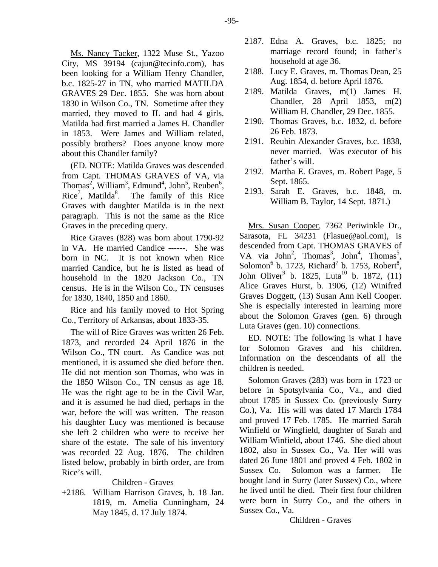Ms. Nancy Tacker, 1322 Muse St., Yazoo City, MS 39194 (cajun@tecinfo.com), has been looking for a William Henry Chandler, b.c. 1825-27 in TN, who married MATILDA GRAVES 29 Dec. 1855. She was born about 1830 in Wilson Co., TN. Sometime after they married, they moved to IL and had 4 girls. Matilda had first married a James H. Chandler in 1853. Were James and William related, possibly brothers? Does anyone know more about this Chandler family?

(ED. NOTE: Matilda Graves was descended from Capt. THOMAS GRAVES of VA, via Thomas<sup>2</sup>, William<sup>3</sup>, Edmund<sup>4</sup>, John<sup>5</sup>, Reuben<sup>6</sup>, Rice<sup>7</sup>, Matilda<sup>8</sup>. The family of this Rice Graves with daughter Matilda is in the next paragraph. This is not the same as the Rice Graves in the preceding query.

Rice Graves (828) was born about 1790-92 in VA. He married Candice ------. She was born in NC. It is not known when Rice married Candice, but he is listed as head of household in the 1820 Jackson Co., TN census. He is in the Wilson Co., TN censuses for 1830, 1840, 1850 and 1860.

Rice and his family moved to Hot Spring Co., Territory of Arkansas, about 1833-35.

The will of Rice Graves was written 26 Feb. 1873, and recorded 24 April 1876 in the Wilson Co., TN court. As Candice was not mentioned, it is assumed she died before then. He did not mention son Thomas, who was in the 1850 Wilson Co., TN census as age 18. He was the right age to be in the Civil War, and it is assumed he had died, perhaps in the war, before the will was written. The reason his daughter Lucy was mentioned is because she left 2 children who were to receive her share of the estate. The sale of his inventory was recorded 22 Aug. 1876. The children listed below, probably in birth order, are from Rice's will.

# Children - Graves

+2186. William Harrison Graves, b. 18 Jan. 1819, m. Amelia Cunningham, 24 May 1845, d. 17 July 1874.

- 2187. Edna A. Graves, b.c. 1825; no marriage record found; in father's household at age 36.
- 2188. Lucy E. Graves, m. Thomas Dean, 25 Aug. 1854, d. before April 1876.
- 2189. Matilda Graves, m(1) James H. Chandler, 28 April 1853, m(2) William H. Chandler, 29 Dec. 1855.
- 2190. Thomas Graves, b.c. 1832, d. before 26 Feb. 1873.
- 2191. Reubin Alexander Graves, b.c. 1838, never married. Was executor of his father's will.
- 2192. Martha E. Graves, m. Robert Page, 5 Sept. 1865.
- 2193. Sarah E. Graves, b.c. 1848, m. William B. Taylor, 14 Sept. 1871.)

Mrs. Susan Cooper, 7362 Periwinkle Dr., Sarasota, FL 34231 (Flasue@aol.com), is descended from Capt. THOMAS GRAVES of VA via John<sup>2</sup>, Thomas<sup>3</sup>, John<sup>4</sup>, Thomas<sup>5</sup>, Solomon<sup>6</sup> b. 1723, Richard<sup>7</sup> b. 1753, Robert<sup>8</sup>, John Oliver<sup>9</sup> b. 1825, Luta<sup>10</sup> b. 1872,  $(11)$ Alice Graves Hurst, b. 1906, (12) Winifred Graves Doggett, (13) Susan Ann Kell Cooper. She is especially interested in learning more about the Solomon Graves (gen. 6) through Luta Graves (gen. 10) connections.

ED. NOTE: The following is what I have for Solomon Graves and his children. Information on the descendants of all the children is needed.

Solomon Graves (283) was born in 1723 or before in Spotsylvania Co., Va., and died about 1785 in Sussex Co. (previously Surry Co.), Va. His will was dated 17 March 1784 and proved 17 Feb. 1785. He married Sarah Winfield or Wingfield, daughter of Sarah and William Winfield, about 1746. She died about 1802, also in Sussex Co., Va. Her will was dated 26 June 1801 and proved 4 Feb. 1802 in Sussex Co. Solomon was a farmer. He bought land in Surry (later Sussex) Co., where he lived until he died. Their first four children were born in Surry Co., and the others in Sussex Co., Va.